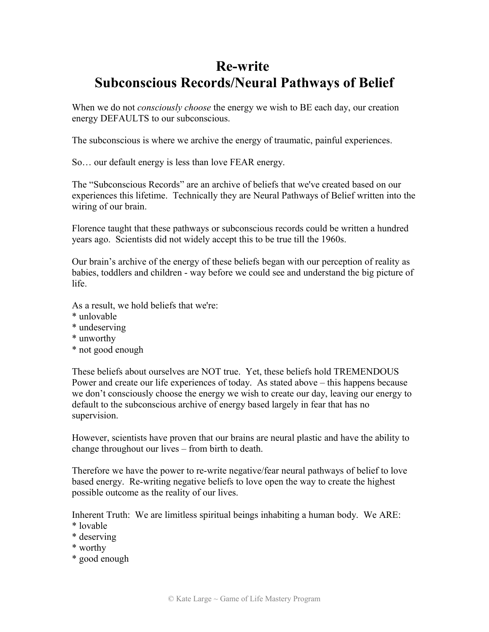# **Re-write Subconscious Records/Neural Pathways of Belief**

When we do not *consciously choose* the energy we wish to BE each day, our creation energy DEFAULTS to our subconscious.

The subconscious is where we archive the energy of traumatic, painful experiences.

So… our default energy is less than love FEAR energy.

The "Subconscious Records" are an archive of beliefs that we've created based on our experiences this lifetime. Technically they are Neural Pathways of Belief written into the wiring of our brain.

Florence taught that these pathways or subconscious records could be written a hundred years ago. Scientists did not widely accept this to be true till the 1960s.

Our brain's archive of the energy of these beliefs began with our perception of reality as babies, toddlers and children - way before we could see and understand the big picture of life.

As a result, we hold beliefs that we're:

- \* unlovable
- \* undeserving
- \* unworthy
- \* not good enough

These beliefs about ourselves are NOT true. Yet, these beliefs hold TREMENDOUS Power and create our life experiences of today. As stated above – this happens because we don't consciously choose the energy we wish to create our day, leaving our energy to default to the subconscious archive of energy based largely in fear that has no supervision.

However, scientists have proven that our brains are neural plastic and have the ability to change throughout our lives – from birth to death.

Therefore we have the power to re-write negative/fear neural pathways of belief to love based energy. Re-writing negative beliefs to love open the way to create the highest possible outcome as the reality of our lives.

Inherent Truth: We are limitless spiritual beings inhabiting a human body. We ARE: \* lovable

- \* deserving
- \* worthy
- \* good enough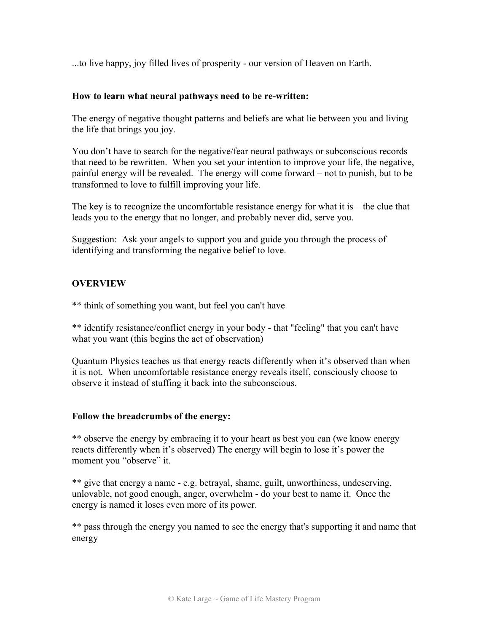...to live happy, joy filled lives of prosperity - our version of Heaven on Earth.

#### **How to learn what neural pathways need to be re-written:**

The energy of negative thought patterns and beliefs are what lie between you and living the life that brings you joy.

You don't have to search for the negative/fear neural pathways or subconscious records that need to be rewritten. When you set your intention to improve your life, the negative, painful energy will be revealed. The energy will come forward – not to punish, but to be transformed to love to fulfill improving your life.

The key is to recognize the uncomfortable resistance energy for what it is  $-$  the clue that leads you to the energy that no longer, and probably never did, serve you.

Suggestion: Ask your angels to support you and guide you through the process of identifying and transforming the negative belief to love.

### **OVERVIEW**

\*\* think of something you want, but feel you can't have

\*\* identify resistance/conflict energy in your body - that "feeling" that you can't have what you want (this begins the act of observation)

Quantum Physics teaches us that energy reacts differently when it's observed than when it is not. When uncomfortable resistance energy reveals itself, consciously choose to observe it instead of stuffing it back into the subconscious.

#### **Follow the breadcrumbs of the energy:**

\*\* observe the energy by embracing it to your heart as best you can (we know energy reacts differently when it's observed) The energy will begin to lose it's power the moment you "observe" it.

\*\* give that energy a name - e.g. betrayal, shame, guilt, unworthiness, undeserving, unlovable, not good enough, anger, overwhelm - do your best to name it. Once the energy is named it loses even more of its power.

\*\* pass through the energy you named to see the energy that's supporting it and name that energy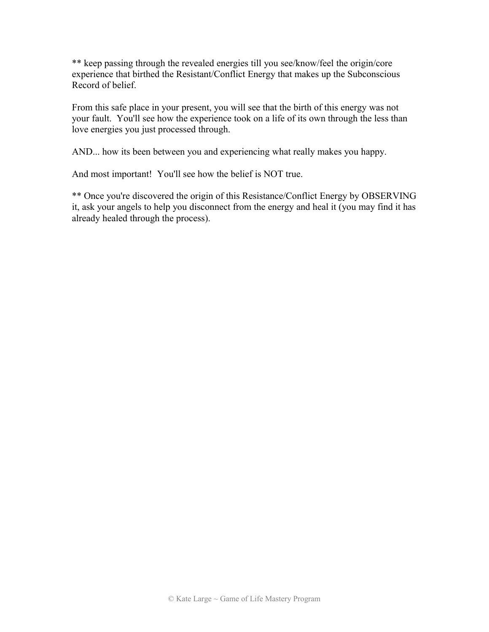\*\* keep passing through the revealed energies till you see/know/feel the origin/core experience that birthed the Resistant/Conflict Energy that makes up the Subconscious Record of belief.

From this safe place in your present, you will see that the birth of this energy was not your fault. You'll see how the experience took on a life of its own through the less than love energies you just processed through.

AND... how its been between you and experiencing what really makes you happy.

And most important! You'll see how the belief is NOT true.

\*\* Once you're discovered the origin of this Resistance/Conflict Energy by OBSERVING it, ask your angels to help you disconnect from the energy and heal it (you may find it has already healed through the process).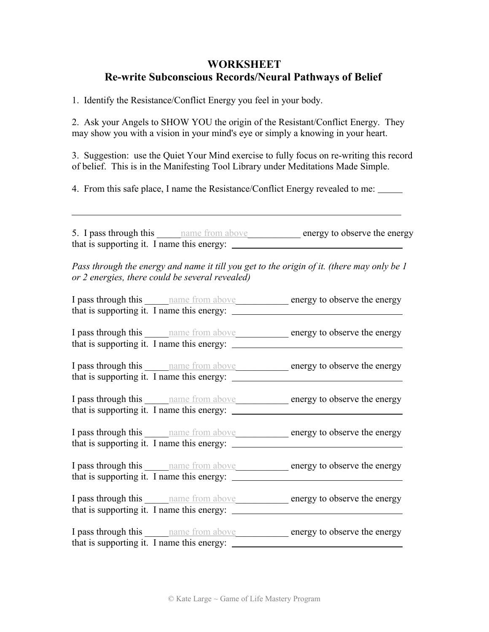# **WORKSHEET Re-write Subconscious Records/Neural Pathways of Belief**

1. Identify the Resistance/Conflict Energy you feel in your body.

 $\overline{a}$ 

2. Ask your Angels to SHOW YOU the origin of the Resistant/Conflict Energy. They may show you with a vision in your mind's eye or simply a knowing in your heart.

3. Suggestion: use the Quiet Your Mind exercise to fully focus on re-writing this record of belief. This is in the Manifesting Tool Library under Meditations Made Simple.

4. From this safe place, I name the Resistance/Conflict Energy revealed to me:

5. I pass through this <u>name from above</u> energy to observe the energy that is supporting it. I name this energy:

*Pass through the energy and name it till you get to the origin of it. (there may only be 1 or 2 energies, there could be several revealed)*

I pass through this \_\_\_\_\_\_\_\_\_\_ name from above\_\_\_\_\_\_\_\_\_\_\_\_\_ energy to observe the energy that is supporting it. I name this energy:

I pass through this \_\_\_\_\_name from above\_\_\_\_\_\_\_\_\_\_\_ energy to observe the energy that is supporting it. I name this energy:

I pass through this \_\_\_\_\_name from above\_\_\_\_\_\_\_\_\_\_\_ energy to observe the energy that is supporting it. I name this energy:

I pass through this \_\_\_\_\_name from above\_\_\_\_\_\_\_\_\_\_\_ energy to observe the energy that is supporting it. I name this energy:

I pass through this \_\_\_\_\_name from above\_\_\_\_\_\_\_\_\_\_\_ energy to observe the energy that is supporting it. I name this energy:

I pass through this \_\_\_\_\_name from above\_\_\_\_\_\_\_\_\_\_\_ energy to observe the energy that is supporting it. I name this energy:

I pass through this **name from above** energy to observe the energy that is supporting it. I name this energy:

I pass through this \_\_\_\_\_\_\_\_\_\_ name from above\_\_\_\_\_\_\_\_\_\_\_\_\_ energy to observe the energy that is supporting it. I name this energy: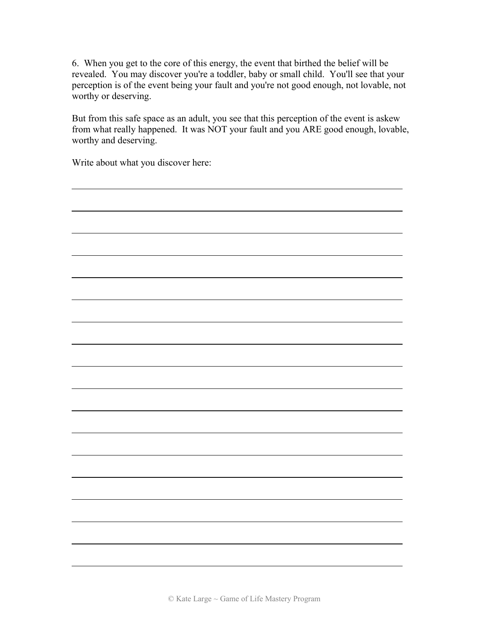6. When you get to the core of this energy, the event that birthed the belief will be revealed. You may discover you're a toddler, baby or small child. You'll see that your perception is of the event being your fault and you're not good enough, not lovable, not worthy or deserving.

But from this safe space as an adult, you see that this perception of the event is askew from what really happened. It was NOT your fault and you ARE good enough, lovable, worthy and deserving.

Write about what you discover here:

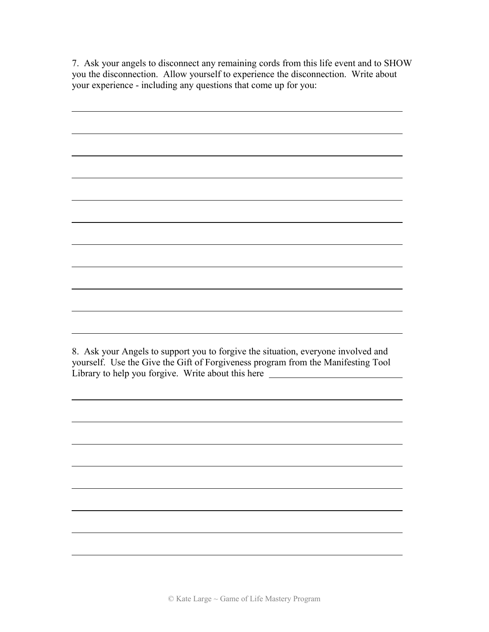7. Ask your angels to disconnect any remaining cords from this life event and to SHOW you the disconnection. Allow yourself to experience the disconnection. Write about your experience - including any questions that come up for you:

| 8. Ask your Angels to support you to forgive the situation, everyone involved and<br>yourself. Use the Give the Gift of Forgiveness program from the Manifesting Tool<br>Library to help you forgive. Write about this here |
|-----------------------------------------------------------------------------------------------------------------------------------------------------------------------------------------------------------------------------|
|                                                                                                                                                                                                                             |
|                                                                                                                                                                                                                             |
|                                                                                                                                                                                                                             |
|                                                                                                                                                                                                                             |
|                                                                                                                                                                                                                             |
|                                                                                                                                                                                                                             |
|                                                                                                                                                                                                                             |
|                                                                                                                                                                                                                             |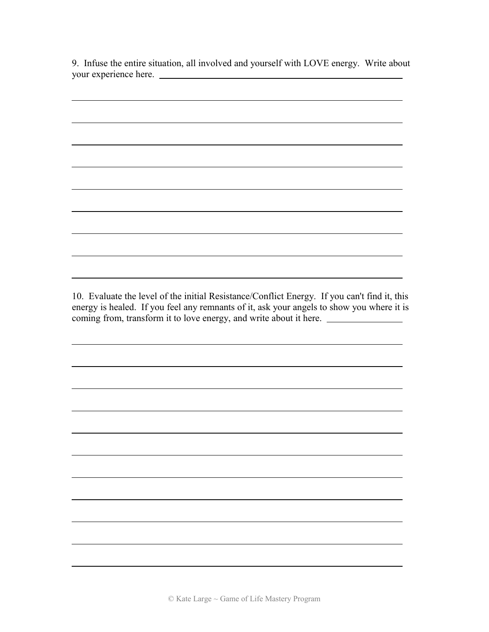9. Infuse the entire situation, all involved and yourself with LOVE energy. Write about your experience here.

 $\overline{a}$ 

 $\overline{a}$ 

10. Evaluate the level of the initial Resistance/Conflict Energy. If you can't find it, this energy is healed. If you feel any remnants of it, ask your angels to show you where it is coming from, transform it to love energy, and write about it here.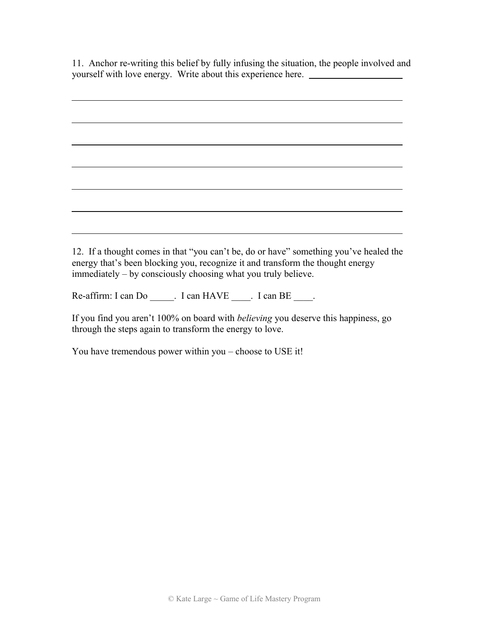11. Anchor re-writing this belief by fully infusing the situation, the people involved and yourself with love energy. Write about this experience here.

 $\overline{a}$ 12. If a thought comes in that "you can't be, do or have" something you've healed the energy that's been blocking you, recognize it and transform the thought energy

Re-affirm: I can Do \_\_\_\_\_. I can HAVE \_\_\_\_. I can BE \_\_\_\_.

immediately – by consciously choosing what you truly believe.

If you find you aren't 100% on board with *believing* you deserve this happiness, go through the steps again to transform the energy to love.

You have tremendous power within you – choose to USE it!